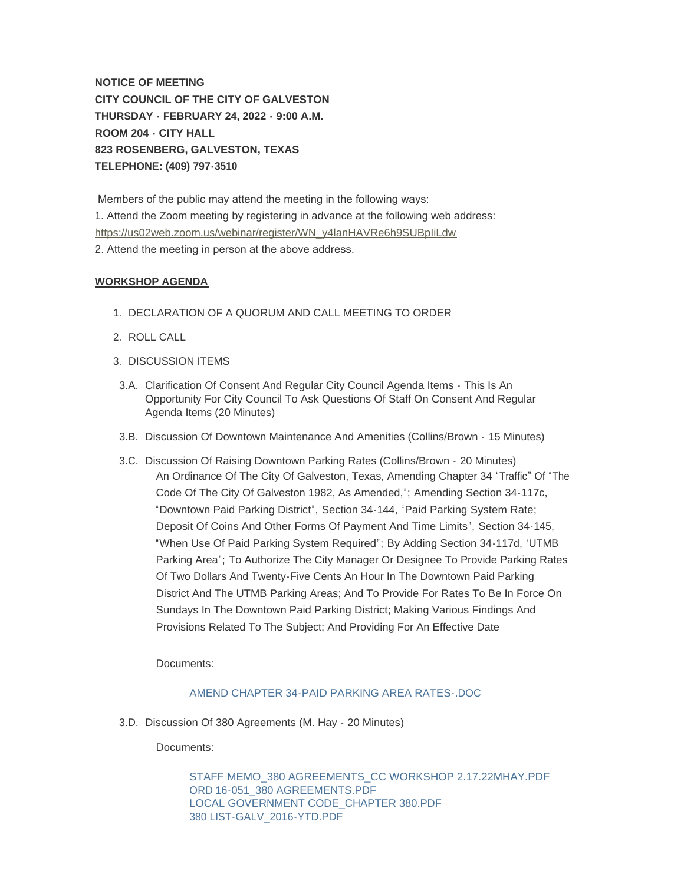**NOTICE OF MEETING CITY COUNCIL OF THE CITY OF GALVESTON THURSDAY - FEBRUARY 24, 2022 - 9:00 A.M. ROOM 204 - CITY HALL 823 ROSENBERG, GALVESTON, TEXAS TELEPHONE: (409) 797-3510**

 Members of the public may attend the meeting in the following ways: [1. Attend the Zoom meeting by registering in advance at the following web a](https://us02web.zoom.us/webinar/register/WN_y4lanHAVRe6h9SUBpIiLdw)ddress: https://us02web.zoom.us/webinar/register/WN\_y4lanHAVRe6h9SUBpIiLdw 2. Attend the meeting in person at the above address.

## **WORKSHOP AGENDA**

- 1. DECLARATION OF A QUORUM AND CALL MEETING TO ORDER
- 2. ROLL CALL
- 3. DISCUSSION ITEMS
- 3.A. Clarification Of Consent And Regular City Council Agenda Items This Is An Opportunity For City Council To Ask Questions Of Staff On Consent And Regular Agenda Items (20 Minutes)
- 3.B. Discussion Of Downtown Maintenance And Amenities (Collins/Brown 15 Minutes)
- 3.C. Discussion Of Raising Downtown Parking Rates (Collins/Brown 20 Minutes) An Ordinance Of The City Of Galveston, Texas, Amending Chapter 34 "Traffic" Of "The Code Of The City Of Galveston 1982, As Amended,"; Amending Section 34-117c, "Downtown Paid Parking District", Section 34-144, "Paid Parking System Rate; Deposit Of Coins And Other Forms Of Payment And Time Limits", Section 34-145, "When Use Of Paid Parking System Required"; By Adding Section 34-117d, 'UTMB Parking Area"; To Authorize The City Manager Or Designee To Provide Parking Rates Of Two Dollars And Twenty-Five Cents An Hour In The Downtown Paid Parking District And The UTMB Parking Areas; And To Provide For Rates To Be In Force On Sundays In The Downtown Paid Parking District; Making Various Findings And Provisions Related To The Subject; And Providing For An Effective Date

Documents:

## [AMEND CHAPTER 34-PAID PARKING AREA RATES-.DOC](https://www.galvestontx.gov/AgendaCenter/ViewFile/Item/13706?fileID=32071)

3.D. Discussion Of 380 Agreements (M. Hay - 20 Minutes)

Documents:

[STAFF MEMO\\_380 AGREEMENTS\\_CC WORKSHOP 2.17.22MHAY.PDF](https://www.galvestontx.gov/AgendaCenter/ViewFile/Item/13715?fileID=32179) [ORD 16-051\\_380 AGREEMENTS.PDF](https://www.galvestontx.gov/AgendaCenter/ViewFile/Item/13715?fileID=32180) [LOCAL GOVERNMENT CODE\\_CHAPTER 380.PDF](https://www.galvestontx.gov/AgendaCenter/ViewFile/Item/13715?fileID=32181) [380 LIST-GALV\\_2016-YTD.PDF](https://www.galvestontx.gov/AgendaCenter/ViewFile/Item/13715?fileID=32182)